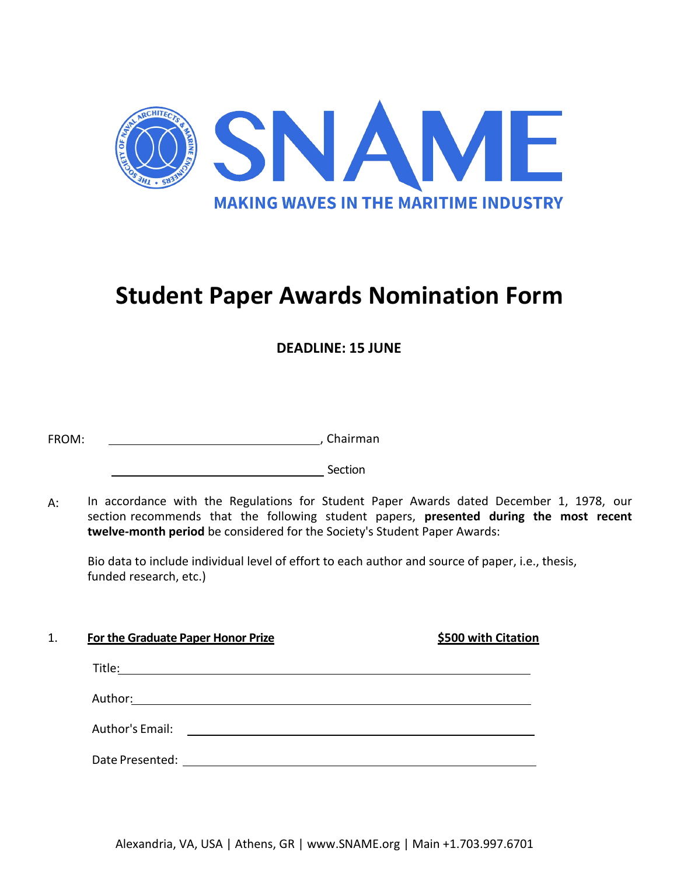

## **Student Paper Awards Nomination Form**

**DEADLINE: 15 JUNE**

| . Chairman |
|------------|
|            |

**Section** Section

A: In accordance with the Regulations for Student Paper Awards dated December 1, 1978, our section recommends that the following student papers, **presented during the most recent twelve-month period** be considered for the Society's Student Paper Awards:

Bio data to include individual level of effort to each author and source of paper, i.e., thesis, funded research, etc.)

| 1. | For the Graduate Paper Honor Prize | \$500 with Citation |
|----|------------------------------------|---------------------|
|    | Title:                             |                     |
|    | Author:                            |                     |
|    | Author's Email:                    |                     |
|    | Date Presented:                    |                     |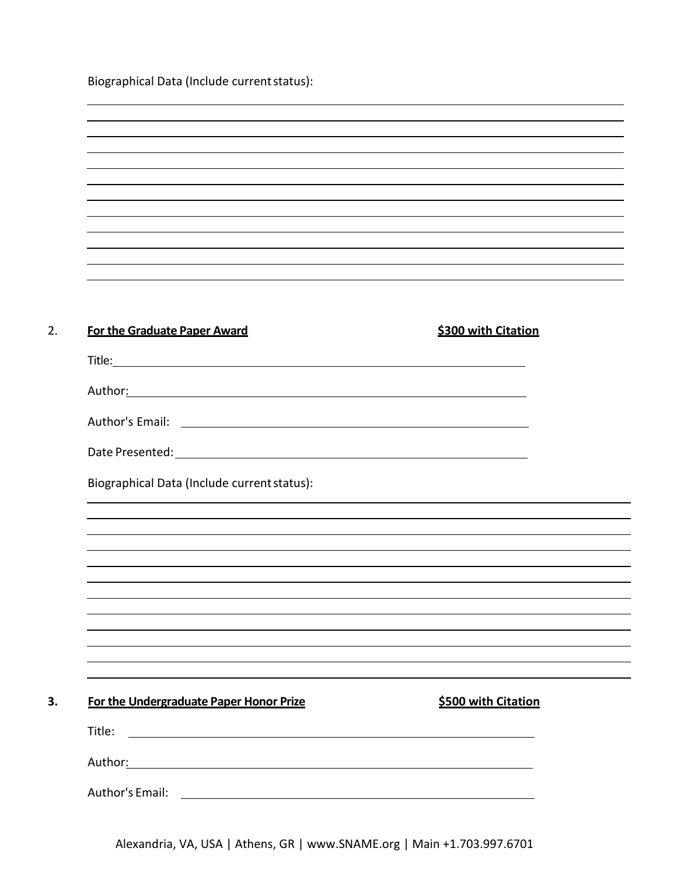Biographical Data (Include currentstatus):

| <b>For the Graduate Paper Award</b>                            | \$300 with Citation |
|----------------------------------------------------------------|---------------------|
|                                                                |                     |
|                                                                |                     |
|                                                                |                     |
|                                                                |                     |
| Biographical Data (Include current status):                    |                     |
|                                                                |                     |
|                                                                |                     |
|                                                                |                     |
|                                                                |                     |
|                                                                |                     |
|                                                                |                     |
|                                                                |                     |
|                                                                |                     |
| For the Undergraduate Paper Honor Prize                        | \$500 with Citation |
| Title:<br><u> 1980 - Jan Barnett, fransk politik (d. 1980)</u> |                     |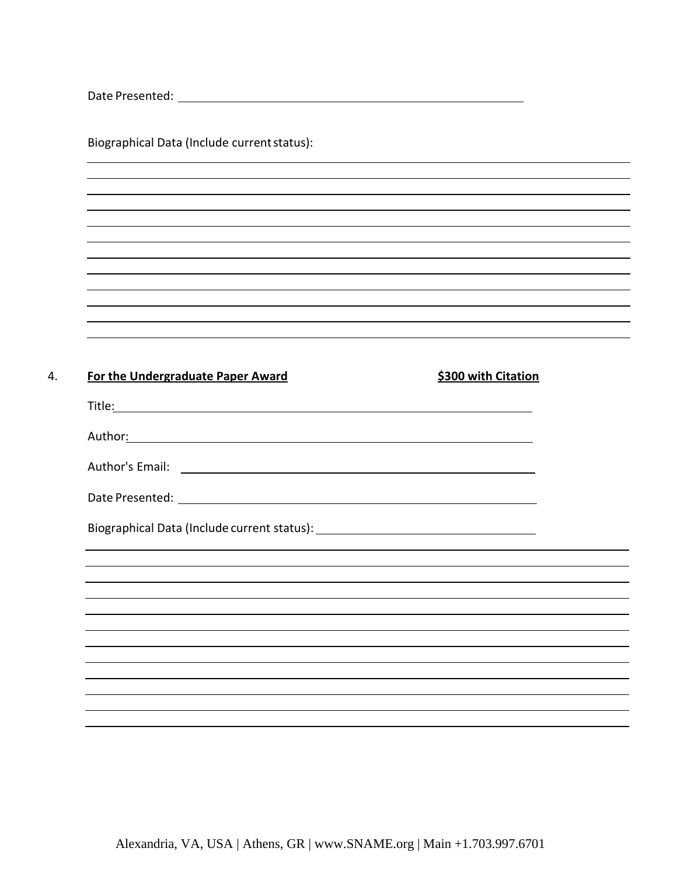| Date Presented: |  |
|-----------------|--|
|                 |  |

Biographical Data (Include currentstatus):

| For the Undergraduate Paper Award                                                                                                                                                                                                     | \$300 with Citation |
|---------------------------------------------------------------------------------------------------------------------------------------------------------------------------------------------------------------------------------------|---------------------|
|                                                                                                                                                                                                                                       |                     |
| Author <u>: Authority and Authority and Authority and Authority and Authority and Authority and Authority and Authority and Authority and Authority and Authority and Authority and Authority and Authority and Authority and Aut</u> |                     |
|                                                                                                                                                                                                                                       |                     |
|                                                                                                                                                                                                                                       |                     |
|                                                                                                                                                                                                                                       |                     |
|                                                                                                                                                                                                                                       |                     |
|                                                                                                                                                                                                                                       |                     |
|                                                                                                                                                                                                                                       |                     |
|                                                                                                                                                                                                                                       |                     |
|                                                                                                                                                                                                                                       |                     |
|                                                                                                                                                                                                                                       |                     |
|                                                                                                                                                                                                                                       |                     |